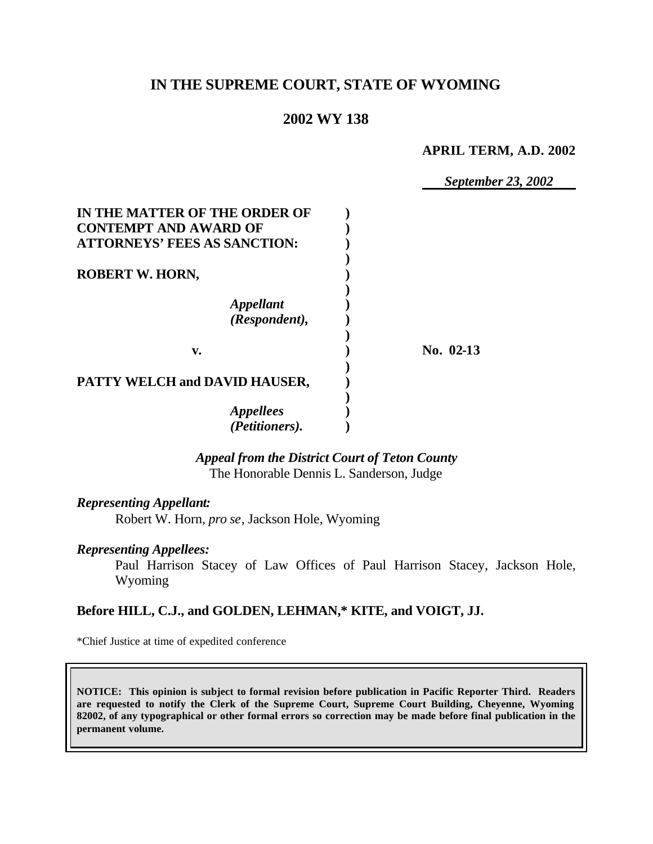# **IN THE SUPREME COURT, STATE OF WYOMING**

# **2002 WY 138**

### **APRIL TERM, A.D. 2002**

*September 23, 2002*

| IN THE MATTER OF THE ORDER OF<br><b>CONTEMPT AND AWARD OF</b> |           |
|---------------------------------------------------------------|-----------|
| <b>ATTORNEYS' FEES AS SANCTION:</b>                           |           |
|                                                               |           |
| <b>ROBERT W. HORN,</b>                                        |           |
| <i><b>Appellant</b></i><br>(Respondent),                      |           |
|                                                               |           |
| v.                                                            | No. 02-13 |
| PATTY WELCH and DAVID HAUSER,                                 |           |
| <b>Appellees</b>                                              |           |
| (Petitioners).                                                |           |

*Appeal from the District Court of Teton County* The Honorable Dennis L. Sanderson, Judge

### *Representing Appellant:*

Robert W. Horn, *pro se*, Jackson Hole, Wyoming

### *Representing Appellees:*

Paul Harrison Stacey of Law Offices of Paul Harrison Stacey, Jackson Hole, Wyoming

## **Before HILL, C.J., and GOLDEN, LEHMAN,\* KITE, and VOIGT, JJ.**

\*Chief Justice at time of expedited conference

**NOTICE: This opinion is subject to formal revision before publication in Pacific Reporter Third. Readers are requested to notify the Clerk of the Supreme Court, Supreme Court Building, Cheyenne, Wyoming 82002, of any typographical or other formal errors so correction may be made before final publication in the permanent volume.**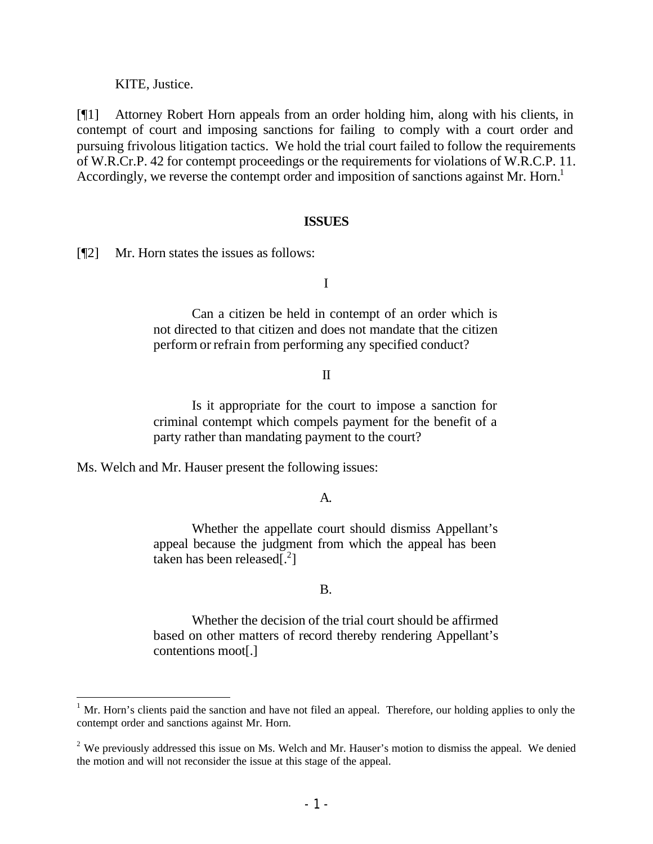KITE, Justice.

[¶1] Attorney Robert Horn appeals from an order holding him, along with his clients, in contempt of court and imposing sanctions for failing to comply with a court order and pursuing frivolous litigation tactics. We hold the trial court failed to follow the requirements of W.R.Cr.P. 42 for contempt proceedings or the requirements for violations of W.R.C.P. 11. Accordingly, we reverse the contempt order and imposition of sanctions against Mr. Horn.<sup>1</sup>

#### **ISSUES**

[¶2] Mr. Horn states the issues as follows:

I

Can a citizen be held in contempt of an order which is not directed to that citizen and does not mandate that the citizen perform or refrain from performing any specified conduct?

#### II

Is it appropriate for the court to impose a sanction for criminal contempt which compels payment for the benefit of a party rather than mandating payment to the court?

Ms. Welch and Mr. Hauser present the following issues:

#### A.

Whether the appellate court should dismiss Appellant's appeal because the judgment from which the appeal has been taken has been released[.<sup>2</sup> ]

#### B.

Whether the decision of the trial court should be affirmed based on other matters of record thereby rendering Appellant's contentions moot[.]

 $1$  Mr. Horn's clients paid the sanction and have not filed an appeal. Therefore, our holding applies to only the contempt order and sanctions against Mr. Horn.

 $2$  We previously addressed this issue on Ms. Welch and Mr. Hauser's motion to dismiss the appeal. We denied the motion and will not reconsider the issue at this stage of the appeal.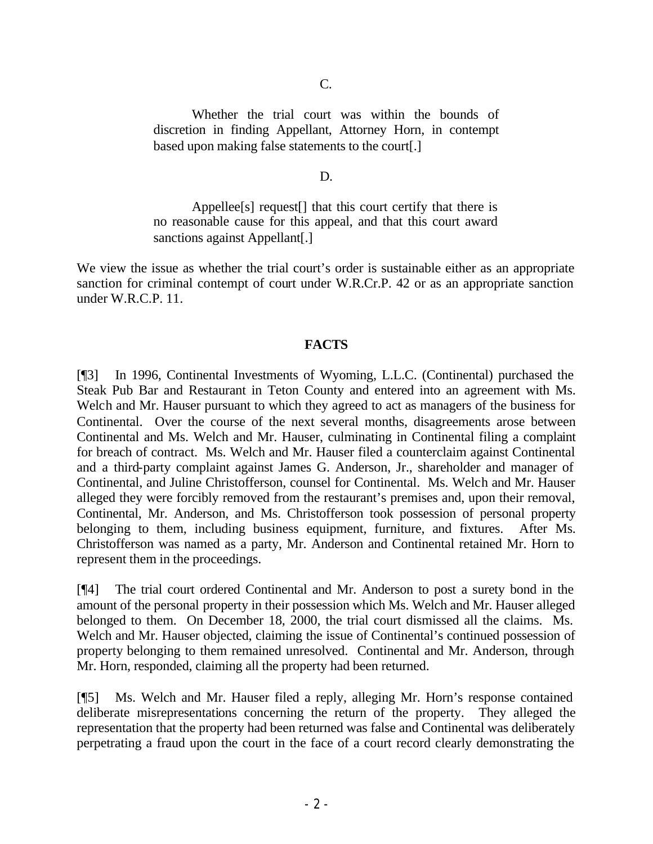Whether the trial court was within the bounds of discretion in finding Appellant, Attorney Horn, in contempt based upon making false statements to the court[.]

D.

Appellee[s] request[] that this court certify that there is no reasonable cause for this appeal, and that this court award sanctions against Appellant[.]

We view the issue as whether the trial court's order is sustainable either as an appropriate sanction for criminal contempt of court under W.R.Cr.P. 42 or as an appropriate sanction under W.R.C.P. 11.

### **FACTS**

[¶3] In 1996, Continental Investments of Wyoming, L.L.C. (Continental) purchased the Steak Pub Bar and Restaurant in Teton County and entered into an agreement with Ms. Welch and Mr. Hauser pursuant to which they agreed to act as managers of the business for Continental. Over the course of the next several months, disagreements arose between Continental and Ms. Welch and Mr. Hauser, culminating in Continental filing a complaint for breach of contract. Ms. Welch and Mr. Hauser filed a counterclaim against Continental and a third-party complaint against James G. Anderson, Jr., shareholder and manager of Continental, and Juline Christofferson, counsel for Continental. Ms. Welch and Mr. Hauser alleged they were forcibly removed from the restaurant's premises and, upon their removal, Continental, Mr. Anderson, and Ms. Christofferson took possession of personal property belonging to them, including business equipment, furniture, and fixtures. After Ms. Christofferson was named as a party, Mr. Anderson and Continental retained Mr. Horn to represent them in the proceedings.

[¶4] The trial court ordered Continental and Mr. Anderson to post a surety bond in the amount of the personal property in their possession which Ms. Welch and Mr. Hauser alleged belonged to them. On December 18, 2000, the trial court dismissed all the claims. Ms. Welch and Mr. Hauser objected, claiming the issue of Continental's continued possession of property belonging to them remained unresolved. Continental and Mr. Anderson, through Mr. Horn, responded, claiming all the property had been returned.

[¶5] Ms. Welch and Mr. Hauser filed a reply, alleging Mr. Horn's response contained deliberate misrepresentations concerning the return of the property. They alleged the representation that the property had been returned was false and Continental was deliberately perpetrating a fraud upon the court in the face of a court record clearly demonstrating the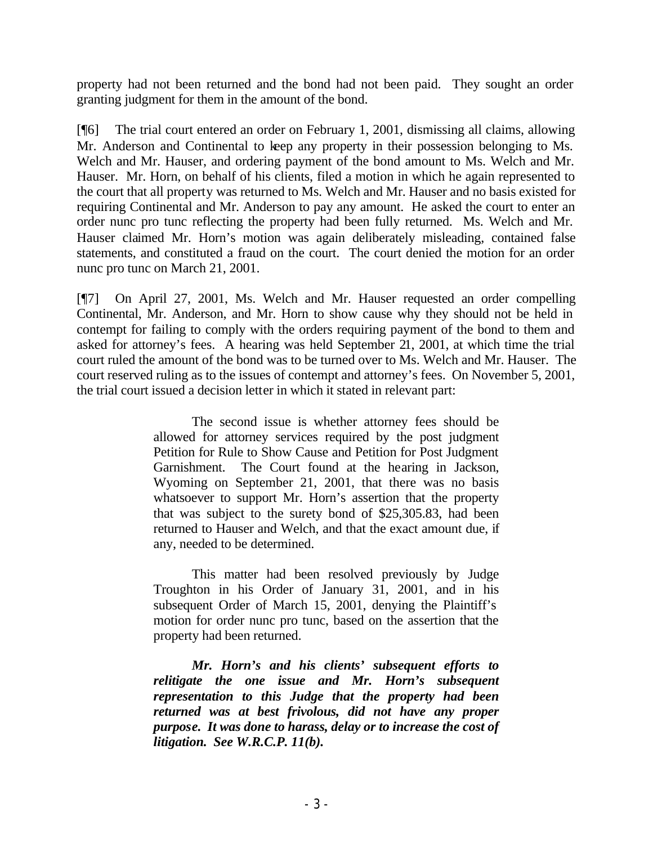property had not been returned and the bond had not been paid. They sought an order granting judgment for them in the amount of the bond.

[¶6] The trial court entered an order on February 1, 2001, dismissing all claims, allowing Mr. Anderson and Continental to keep any property in their possession belonging to Ms. Welch and Mr. Hauser, and ordering payment of the bond amount to Ms. Welch and Mr. Hauser. Mr. Horn, on behalf of his clients, filed a motion in which he again represented to the court that all property was returned to Ms. Welch and Mr. Hauser and no basis existed for requiring Continental and Mr. Anderson to pay any amount. He asked the court to enter an order nunc pro tunc reflecting the property had been fully returned. Ms. Welch and Mr. Hauser claimed Mr. Horn's motion was again deliberately misleading, contained false statements, and constituted a fraud on the court. The court denied the motion for an order nunc pro tunc on March 21, 2001.

[¶7] On April 27, 2001, Ms. Welch and Mr. Hauser requested an order compelling Continental, Mr. Anderson, and Mr. Horn to show cause why they should not be held in contempt for failing to comply with the orders requiring payment of the bond to them and asked for attorney's fees. A hearing was held September 21, 2001, at which time the trial court ruled the amount of the bond was to be turned over to Ms. Welch and Mr. Hauser. The court reserved ruling as to the issues of contempt and attorney's fees. On November 5, 2001, the trial court issued a decision letter in which it stated in relevant part:

> The second issue is whether attorney fees should be allowed for attorney services required by the post judgment Petition for Rule to Show Cause and Petition for Post Judgment Garnishment. The Court found at the hearing in Jackson, Wyoming on September 21, 2001, that there was no basis whatsoever to support Mr. Horn's assertion that the property that was subject to the surety bond of \$25,305.83, had been returned to Hauser and Welch, and that the exact amount due, if any, needed to be determined.

> This matter had been resolved previously by Judge Troughton in his Order of January 31, 2001, and in his subsequent Order of March 15, 2001, denying the Plaintiff's motion for order nunc pro tunc, based on the assertion that the property had been returned.

> *Mr. Horn's and his clients' subsequent efforts to relitigate the one issue and Mr. Horn's subsequent representation to this Judge that the property had been returned was at best frivolous, did not have any proper purpose. It was done to harass, delay or to increase the cost of litigation. See W.R.C.P. 11(b).*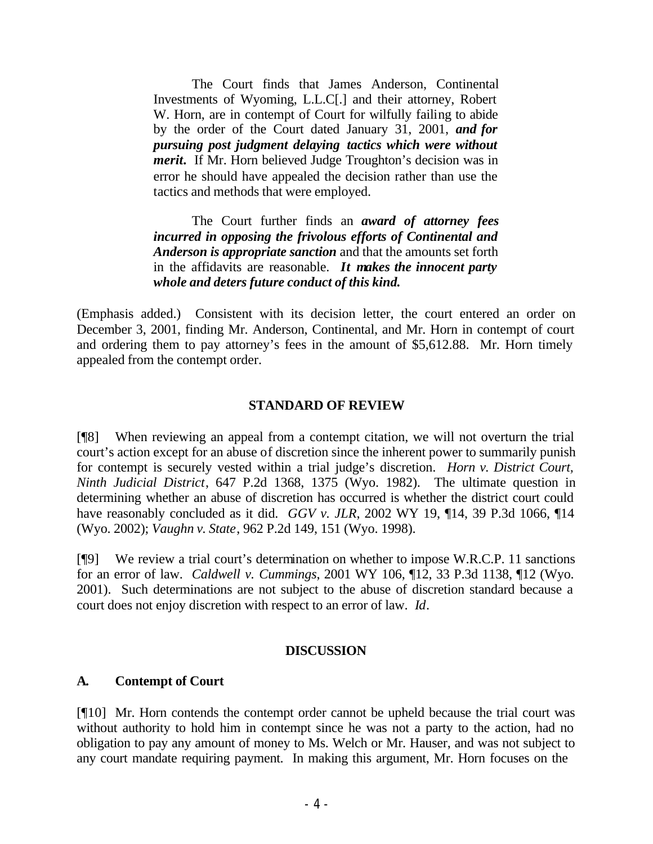The Court finds that James Anderson, Continental Investments of Wyoming, L.L.C[.] and their attorney, Robert W. Horn, are in contempt of Court for wilfully failing to abide by the order of the Court dated January 31, 2001, *and for pursuing post judgment delaying tactics which were without merit***.** If Mr. Horn believed Judge Troughton's decision was in error he should have appealed the decision rather than use the tactics and methods that were employed.

The Court further finds an *award of attorney fees incurred in opposing the frivolous efforts of Continental and Anderson is appropriate sanction* and that the amounts set forth in the affidavits are reasonable. *It makes the innocent party whole and deters future conduct of this kind.*

(Emphasis added.) Consistent with its decision letter, the court entered an order on December 3, 2001, finding Mr. Anderson, Continental, and Mr. Horn in contempt of court and ordering them to pay attorney's fees in the amount of \$5,612.88. Mr. Horn timely appealed from the contempt order.

## **STANDARD OF REVIEW**

[¶8] When reviewing an appeal from a contempt citation, we will not overturn the trial court's action except for an abuse of discretion since the inherent power to summarily punish for contempt is securely vested within a trial judge's discretion. *Horn v. District Court, Ninth Judicial District*, 647 P.2d 1368, 1375 (Wyo. 1982). The ultimate question in determining whether an abuse of discretion has occurred is whether the district court could have reasonably concluded as it did. *GGV v. JLR*, 2002 WY 19, ¶14, 39 P.3d 1066, ¶14 (Wyo. 2002); *Vaughn v. State*, 962 P.2d 149, 151 (Wyo. 1998).

[¶9] We review a trial court's determination on whether to impose W.R.C.P. 11 sanctions for an error of law. *Caldwell v. Cummings*, 2001 WY 106, ¶12, 33 P.3d 1138, ¶12 (Wyo. 2001). Such determinations are not subject to the abuse of discretion standard because a court does not enjoy discretion with respect to an error of law. *Id*.

## **DISCUSSION**

## **A. Contempt of Court**

[¶10] Mr. Horn contends the contempt order cannot be upheld because the trial court was without authority to hold him in contempt since he was not a party to the action, had no obligation to pay any amount of money to Ms. Welch or Mr. Hauser, and was not subject to any court mandate requiring payment. In making this argument, Mr. Horn focuses on the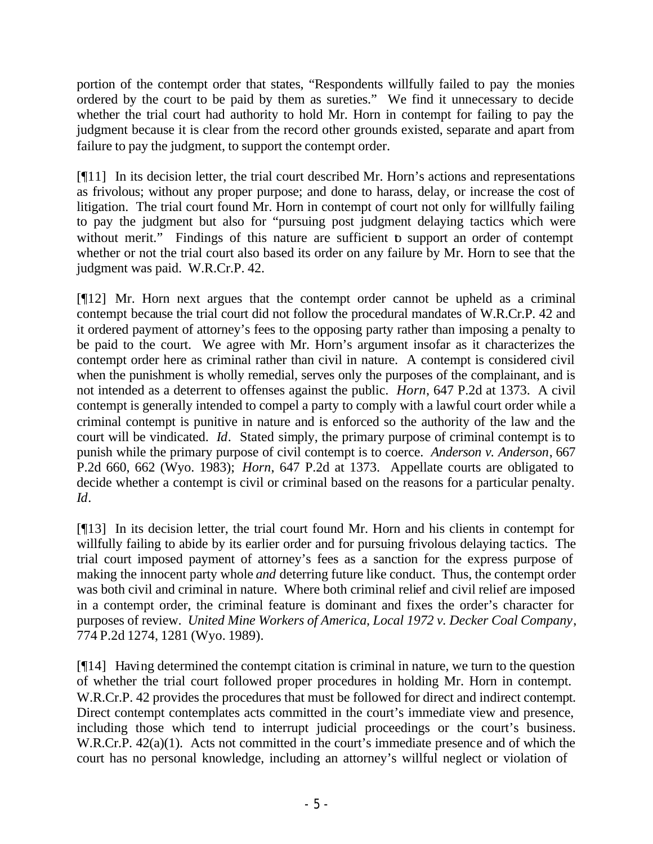portion of the contempt order that states, "Respondents willfully failed to pay the monies ordered by the court to be paid by them as sureties." We find it unnecessary to decide whether the trial court had authority to hold Mr. Horn in contempt for failing to pay the judgment because it is clear from the record other grounds existed, separate and apart from failure to pay the judgment, to support the contempt order.

[¶11] In its decision letter, the trial court described Mr. Horn's actions and representations as frivolous; without any proper purpose; and done to harass, delay, or increase the cost of litigation. The trial court found Mr. Horn in contempt of court not only for willfully failing to pay the judgment but also for "pursuing post judgment delaying tactics which were without merit." Findings of this nature are sufficient to support an order of contempt whether or not the trial court also based its order on any failure by Mr. Horn to see that the judgment was paid. W.R.Cr.P. 42.

[¶12] Mr. Horn next argues that the contempt order cannot be upheld as a criminal contempt because the trial court did not follow the procedural mandates of W.R.Cr.P. 42 and it ordered payment of attorney's fees to the opposing party rather than imposing a penalty to be paid to the court. We agree with Mr. Horn's argument insofar as it characterizes the contempt order here as criminal rather than civil in nature. A contempt is considered civil when the punishment is wholly remedial, serves only the purposes of the complainant, and is not intended as a deterrent to offenses against the public. *Horn*, 647 P.2d at 1373. A civil contempt is generally intended to compel a party to comply with a lawful court order while a criminal contempt is punitive in nature and is enforced so the authority of the law and the court will be vindicated. *Id*. Stated simply, the primary purpose of criminal contempt is to punish while the primary purpose of civil contempt is to coerce. *Anderson v. Anderson*, 667 P.2d 660, 662 (Wyo. 1983); *Horn*, 647 P.2d at 1373. Appellate courts are obligated to decide whether a contempt is civil or criminal based on the reasons for a particular penalty. *Id*.

[¶13] In its decision letter, the trial court found Mr. Horn and his clients in contempt for willfully failing to abide by its earlier order and for pursuing frivolous delaying tactics. The trial court imposed payment of attorney's fees as a sanction for the express purpose of making the innocent party whole *and* deterring future like conduct. Thus, the contempt order was both civil and criminal in nature. Where both criminal relief and civil relief are imposed in a contempt order, the criminal feature is dominant and fixes the order's character for purposes of review. *United Mine Workers of America, Local 1972 v. Decker Coal Company*, 774 P.2d 1274, 1281 (Wyo. 1989).

[¶14] Having determined the contempt citation is criminal in nature, we turn to the question of whether the trial court followed proper procedures in holding Mr. Horn in contempt. W.R.Cr.P. 42 provides the procedures that must be followed for direct and indirect contempt. Direct contempt contemplates acts committed in the court's immediate view and presence, including those which tend to interrupt judicial proceedings or the court's business. W.R.Cr.P. 42(a)(1). Acts not committed in the court's immediate presence and of which the court has no personal knowledge, including an attorney's willful neglect or violation of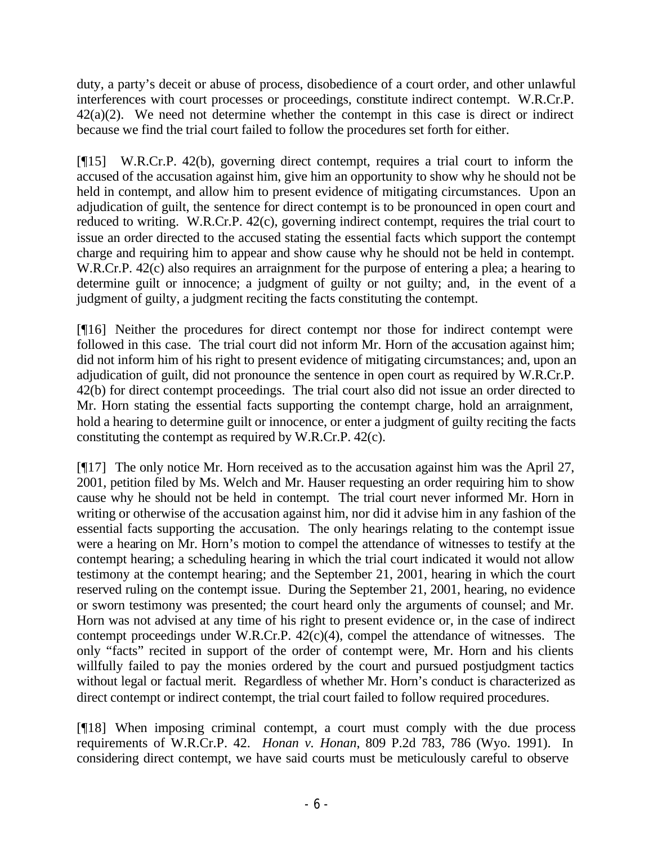duty, a party's deceit or abuse of process, disobedience of a court order, and other unlawful interferences with court processes or proceedings, constitute indirect contempt. W.R.Cr.P.  $42(a)(2)$ . We need not determine whether the contempt in this case is direct or indirect because we find the trial court failed to follow the procedures set forth for either.

[¶15] W.R.Cr.P. 42(b), governing direct contempt, requires a trial court to inform the accused of the accusation against him, give him an opportunity to show why he should not be held in contempt, and allow him to present evidence of mitigating circumstances. Upon an adjudication of guilt, the sentence for direct contempt is to be pronounced in open court and reduced to writing. W.R.Cr.P. 42(c), governing indirect contempt, requires the trial court to issue an order directed to the accused stating the essential facts which support the contempt charge and requiring him to appear and show cause why he should not be held in contempt. W.R.Cr.P. 42(c) also requires an arraignment for the purpose of entering a plea; a hearing to determine guilt or innocence; a judgment of guilty or not guilty; and, in the event of a judgment of guilty, a judgment reciting the facts constituting the contempt.

[¶16] Neither the procedures for direct contempt nor those for indirect contempt were followed in this case. The trial court did not inform Mr. Horn of the accusation against him; did not inform him of his right to present evidence of mitigating circumstances; and, upon an adjudication of guilt, did not pronounce the sentence in open court as required by W.R.Cr.P. 42(b) for direct contempt proceedings. The trial court also did not issue an order directed to Mr. Horn stating the essential facts supporting the contempt charge, hold an arraignment, hold a hearing to determine guilt or innocence, or enter a judgment of guilty reciting the facts constituting the contempt as required by W.R.Cr.P. 42(c).

[¶17] The only notice Mr. Horn received as to the accusation against him was the April 27, 2001, petition filed by Ms. Welch and Mr. Hauser requesting an order requiring him to show cause why he should not be held in contempt. The trial court never informed Mr. Horn in writing or otherwise of the accusation against him, nor did it advise him in any fashion of the essential facts supporting the accusation. The only hearings relating to the contempt issue were a hearing on Mr. Horn's motion to compel the attendance of witnesses to testify at the contempt hearing; a scheduling hearing in which the trial court indicated it would not allow testimony at the contempt hearing; and the September 21, 2001, hearing in which the court reserved ruling on the contempt issue. During the September 21, 2001, hearing, no evidence or sworn testimony was presented; the court heard only the arguments of counsel; and Mr. Horn was not advised at any time of his right to present evidence or, in the case of indirect contempt proceedings under W.R.Cr.P.  $42(c)(4)$ , compel the attendance of witnesses. The only "facts" recited in support of the order of contempt were, Mr. Horn and his clients willfully failed to pay the monies ordered by the court and pursued postjudgment tactics without legal or factual merit. Regardless of whether Mr. Horn's conduct is characterized as direct contempt or indirect contempt, the trial court failed to follow required procedures.

[¶18] When imposing criminal contempt, a court must comply with the due process requirements of W.R.Cr.P. 42. *Honan v. Honan*, 809 P.2d 783, 786 (Wyo. 1991). In considering direct contempt, we have said courts must be meticulously careful to observe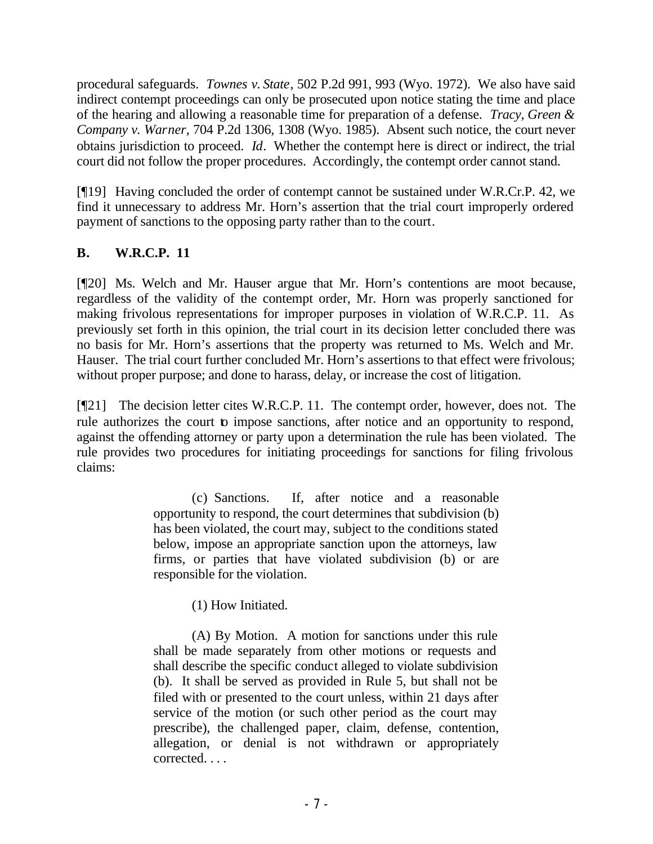procedural safeguards. *Townes v. State*, 502 P.2d 991, 993 (Wyo. 1972). We also have said indirect contempt proceedings can only be prosecuted upon notice stating the time and place of the hearing and allowing a reasonable time for preparation of a defense. *Tracy, Green & Company v. Warner*, 704 P.2d 1306, 1308 (Wyo. 1985). Absent such notice, the court never obtains jurisdiction to proceed. *Id*. Whether the contempt here is direct or indirect, the trial court did not follow the proper procedures. Accordingly, the contempt order cannot stand.

[¶19] Having concluded the order of contempt cannot be sustained under W.R.Cr.P. 42, we find it unnecessary to address Mr. Horn's assertion that the trial court improperly ordered payment of sanctions to the opposing party rather than to the court.

# **B. W.R.C.P. 11**

[¶20] Ms. Welch and Mr. Hauser argue that Mr. Horn's contentions are moot because, regardless of the validity of the contempt order, Mr. Horn was properly sanctioned for making frivolous representations for improper purposes in violation of W.R.C.P. 11. As previously set forth in this opinion, the trial court in its decision letter concluded there was no basis for Mr. Horn's assertions that the property was returned to Ms. Welch and Mr. Hauser. The trial court further concluded Mr. Horn's assertions to that effect were frivolous; without proper purpose; and done to harass, delay, or increase the cost of litigation.

[¶21] The decision letter cites W.R.C.P. 11. The contempt order, however, does not. The rule authorizes the court to impose sanctions, after notice and an opportunity to respond, against the offending attorney or party upon a determination the rule has been violated. The rule provides two procedures for initiating proceedings for sanctions for filing frivolous claims:

> (c) Sanctions. If, after notice and a reasonable opportunity to respond, the court determines that subdivision (b) has been violated, the court may, subject to the conditions stated below, impose an appropriate sanction upon the attorneys, law firms, or parties that have violated subdivision (b) or are responsible for the violation.

> > (1) How Initiated.

(A) By Motion. A motion for sanctions under this rule shall be made separately from other motions or requests and shall describe the specific conduct alleged to violate subdivision (b). It shall be served as provided in Rule 5, but shall not be filed with or presented to the court unless, within 21 days after service of the motion (or such other period as the court may prescribe), the challenged paper, claim, defense, contention, allegation, or denial is not withdrawn or appropriately corrected. . . .